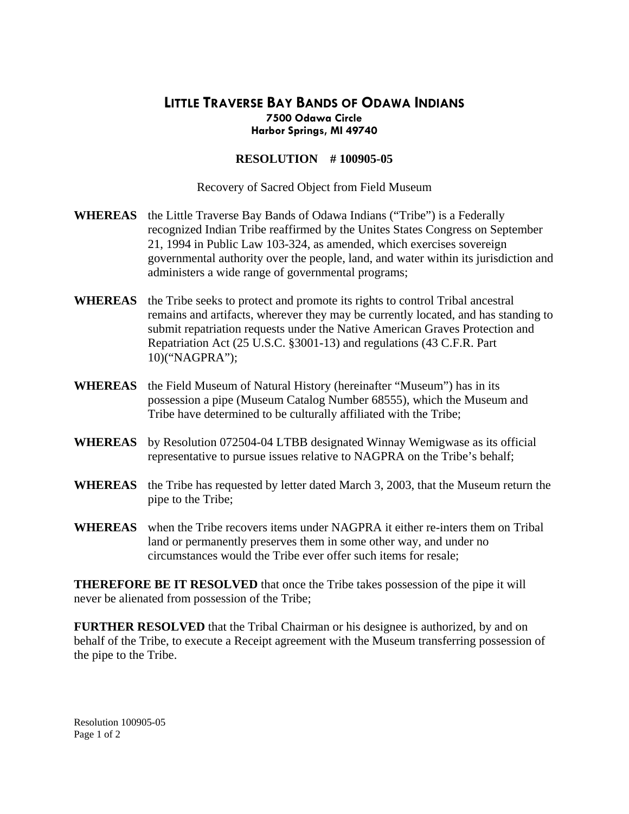## **LITTLE TRAVERSE BAY BANDS OF ODAWA INDIANS 7500 Odawa Circle Harbor Springs, MI 49740**

## **RESOLUTION # 100905-05**

Recovery of Sacred Object from Field Museum

- **WHEREAS** the Little Traverse Bay Bands of Odawa Indians ("Tribe") is a Federally recognized Indian Tribe reaffirmed by the Unites States Congress on September 21, 1994 in Public Law 103-324, as amended, which exercises sovereign governmental authority over the people, land, and water within its jurisdiction and administers a wide range of governmental programs;
- **WHEREAS** the Tribe seeks to protect and promote its rights to control Tribal ancestral remains and artifacts, wherever they may be currently located, and has standing to submit repatriation requests under the Native American Graves Protection and Repatriation Act (25 U.S.C. §3001-13) and regulations (43 C.F.R. Part 10)("NAGPRA");
- **WHEREAS** the Field Museum of Natural History (hereinafter "Museum") has in its possession a pipe (Museum Catalog Number 68555), which the Museum and Tribe have determined to be culturally affiliated with the Tribe;
- **WHEREAS** by Resolution 072504-04 LTBB designated Winnay Wemigwase as its official representative to pursue issues relative to NAGPRA on the Tribe's behalf;
- **WHEREAS** the Tribe has requested by letter dated March 3, 2003, that the Museum return the pipe to the Tribe;
- **WHEREAS** when the Tribe recovers items under NAGPRA it either re-inters them on Tribal land or permanently preserves them in some other way, and under no circumstances would the Tribe ever offer such items for resale;

**THEREFORE BE IT RESOLVED** that once the Tribe takes possession of the pipe it will never be alienated from possession of the Tribe;

**FURTHER RESOLVED** that the Tribal Chairman or his designee is authorized, by and on behalf of the Tribe, to execute a Receipt agreement with the Museum transferring possession of the pipe to the Tribe.

Resolution 100905-05 Page 1 of 2